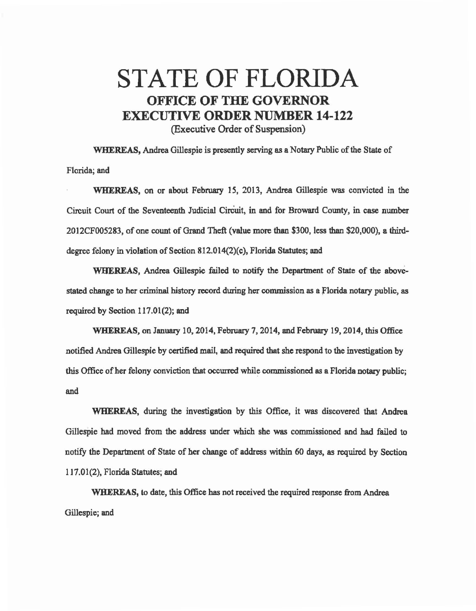## STATE OF FLORIDA OFFICE OF THE GOVERNOR EXECUTIVE ORDER NUMBER 14-122 (Executive Order of Suspension)

WHEREAS, Andrea Gillespie is presently serving es a Notary Public of the State of Florida; and

WHEREAS, on or about February 15, 2013, Andrea Gillespie was convicted in the Circuit Court of the Seventeenth Judicial Cireuit, in and for Broward County, in case number 2012CF005283, of one count of Grand Theft (value more than \$300, less than \$20,000), a thirddegree felony in violation of Section 812.014(2)(c), Florida Statutes; and

WHEREAS, Andrea Gillespie failed to notify the Department of State of the abovestated change to her criminal history record during her commission as a Florida notary public, as required by Section 117.01(2); and

WHEREAS, on January 10, 2014, February 7, 2014, and February 19, 2014, this Office notified Andrea Gillespie by certified mail, and required that she respond to the investigation by this Office of her felony conviction that occurred while commissioned as a Florida notary public; and

WHEREAS, during the investigation by this Office, it was discovered that Andrea Gillespie had moved from the address under which she was commissioned and had failed to notify the Department of State of her change of address within 60 days, as required by Section 117.01(2), Florida Statutes; and

WHEREAS, to date, this Office has not received the required response from Andrea Gillespie; and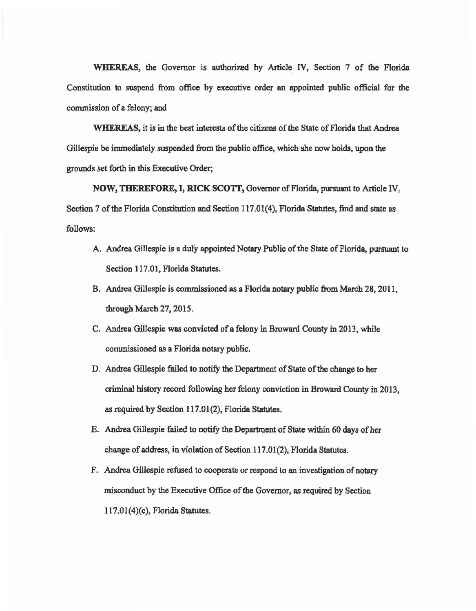WHEREAS, the Governor is authorized by Article IV, Section 7 of the Florida Constitution to suspend from office by executive order an appointed public official for the commission of a felony; and

WHEREAS, it is in the best interests of the citizens of the State of Florida that Andrea Gillespie be immediately suspended from the public office, which she now holds, upon the grounds set forth in this Executive Order;

NOW, THEREFORE, I, RICK SCOTI', Governor of Florida, pursuant to Article IV, Section 7 of the Florida Constitution and Section 117.01(4), Florida Statutes, find and state as follows:

- A. Andrea Gillespie is a duly appointed Notary Public of the State of Florida, pursuant to Section 117.01, Florida Statutes.
- B. Andrea Gillespie is commissioned as a Florida notary public from March 28, 2011, through March 27, 2015.
- C. Andrea GiUespie was convicted of a felony in Broward County in 2013, while cormnissioned as a Florida notary public.
- D. Andrea Gillespie failed to notify the Department of State of the change to her criminal history record following her felony conviction in Broward County in 2013, as required by Section 117.01(2), Florida Statutes.
- E. Andrea Gillespie failed to notify the Department of State within 60 days of her change of address, in violation of Section 117.01(2), Florida Statutes.
- F. Andrea Gillespie refused to cooperate or respond to an investigation of notary misconduct by the Executive Office of the Governor, as required by Section I l 7.01(4)(c), Florida Statutes.